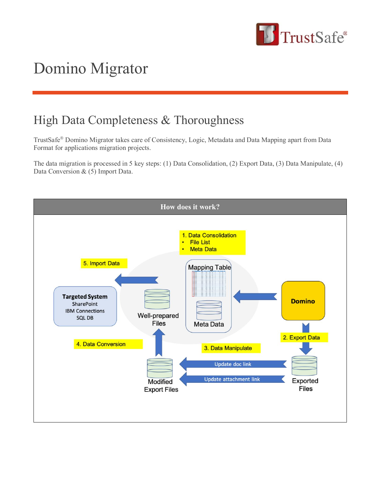

## Domino Migrator

## High Data Completeness & Thoroughness

TrustSafe® Domino Migrator takes care of Consistency, Logic, Metadata and Data Mapping apart from Data Format for applications migration projects.

The data migration is processed in 5 key steps: (1) Data Consolidation, (2) Export Data, (3) Data Manipulate, (4) Data Conversion & (5) Import Data.

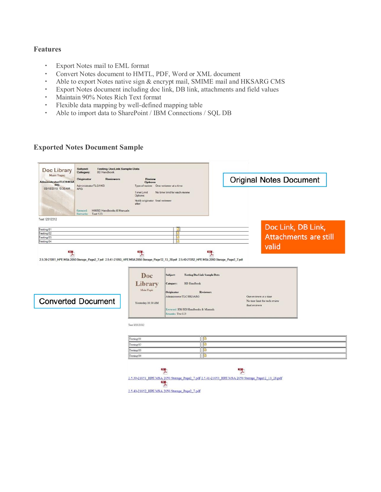## **Features**

- Export Notes mail to EML format
- Convert Notes document to HMTL, PDF, Word or XML document
- Able to export Notes native sign & encrypt mail, SMIME mail and HKSARG CMS
- Export Notes document including doc link, DB link, attachments and field values
- Maintain 90% Notes Rich Text format
- Flexible data mapping by well-defined mapping table
- Able to import data to SharePoint / IBM Connections / SQL DB

## **Exported Notes Document Sample**

| Category:<br><b>BD</b> Handbook<br><b>Main Topic</b><br>Reviewers<br>Originator<br>Administrator/TLC/HKSA<br>RG<br>Administrator/TLC/HKS<br>09/18/2018 10:30 AM<br><b>ARG</b><br>Keyword:<br>HM/BD Handbooks & Manuals | Review<br><b>Options</b><br>Type of review.<br>Time Limit<br>Options:<br>Notify originator final reviewer<br>after. | One reviewer at a time<br>No time limit for each review                                                                                                                                                    | <b>Original Notes Document</b>                                                                        |  |
|------------------------------------------------------------------------------------------------------------------------------------------------------------------------------------------------------------------------|---------------------------------------------------------------------------------------------------------------------|------------------------------------------------------------------------------------------------------------------------------------------------------------------------------------------------------------|-------------------------------------------------------------------------------------------------------|--|
| Remarks:<br><b>Test 123</b><br>Test 12312312<br>Testing 01<br>Festing 02<br>Testing 03<br>Testing 04                                                                                                                   | 뻿                                                                                                                   | 画<br>B<br>國                                                                                                                                                                                                | Doc Link, DB Link,<br><b>Attachments are still</b><br>valid                                           |  |
| 25.39-21051_HPE MSA 2050 Storage_Page2_7.pdf 2.5.41-21053_HPE MSA 2050 Storage_Page12_13_28.pdf 2.5.40-21052_HPE MSA 2050 Storage_Page2_7.pdf<br><b>Converted Document</b>                                             | Doc<br>Library<br>Main Topic<br>Yesterday 10:30 AM                                                                  | <b>Testing DocLink Sample Data</b><br>Subject:<br>Category:<br><b>BD</b> Handbook<br>Originator<br><b>Reviewers</b><br>Administrator/TLC/HKSARG<br>Keyword: HM/BD Handbooks & Manuals<br>Remarks: Test 123 | One reviewer at a time<br>No time limit for each review<br>final reviewer                             |  |
|                                                                                                                                                                                                                        | Test 12312312<br>Testing 01<br>Testing 02<br>Testing 03<br>Testing 04                                               | E<br>۱a<br>JB.<br>iB<br>뙛<br>2.5.40-21052 HPE MSA 2050 Storage Page2 7.pdf                                                                                                                                 | 쀳<br>2.5.39-21051 HPE MSA 2050 Storage Page2 7.pdf 2.5.41-21053 HPE MSA 2050 Storage Page12 13 28.pdf |  |